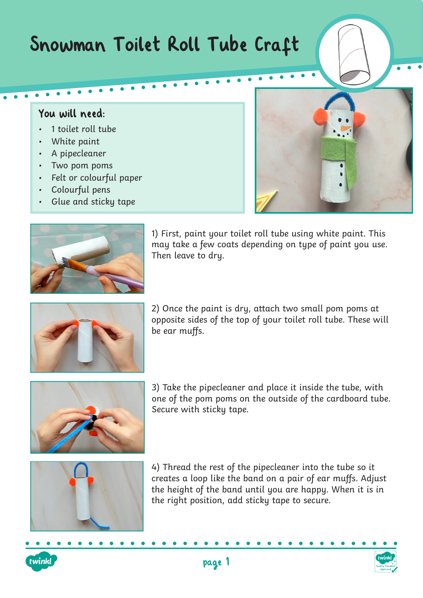## Snowman Toilet Roll Tube Craft

## You will need:

- 1 toilet roll tube
- White paint
- A pipecleaner
- Two pom poms
- Felt or colourful paper
- Colourful pens
- Glue and sticky tape



1) First, paint your toilet roll tube using white paint. This may take a few coats depending on type of paint you use. Then leave to dry.



2) Once the paint is dry, attach two small pom poms at opposite sides of the top of your toilet roll tube. These will be ear muffs.



3) Take the pipecleaner and place it inside the tube, with one of the pom poms on the outside of the cardboard tube. Secure with sticky tape.



4) Thread the rest of the pipecleaner into the tube so it creates a loop like the band on a pair of ear muffs. Adjust the height of the band until you are happy. When it is in the right position, add sticky tape to secure.



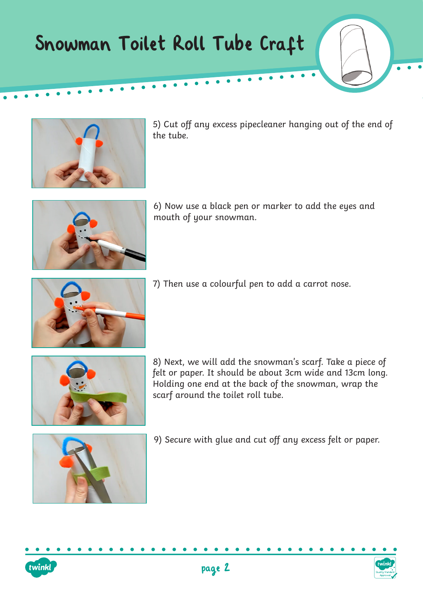## Snowman Toilet Roll Tube Craft



5) Cut off any excess pipecleaner hanging out of the end of the tube.



6) Now use a black pen or marker to add the eyes and mouth of your snowman.



7) Then use a colourful pen to add a carrot nose.



8) Next, we will add the snowman's scarf. Take a piece of felt or paper. It should be about 3cm wide and 13cm long. Holding one end at the back of the snowman, wrap the scarf around the toilet roll tube.



9) Secure with glue and cut off any excess felt or paper.



twinkl